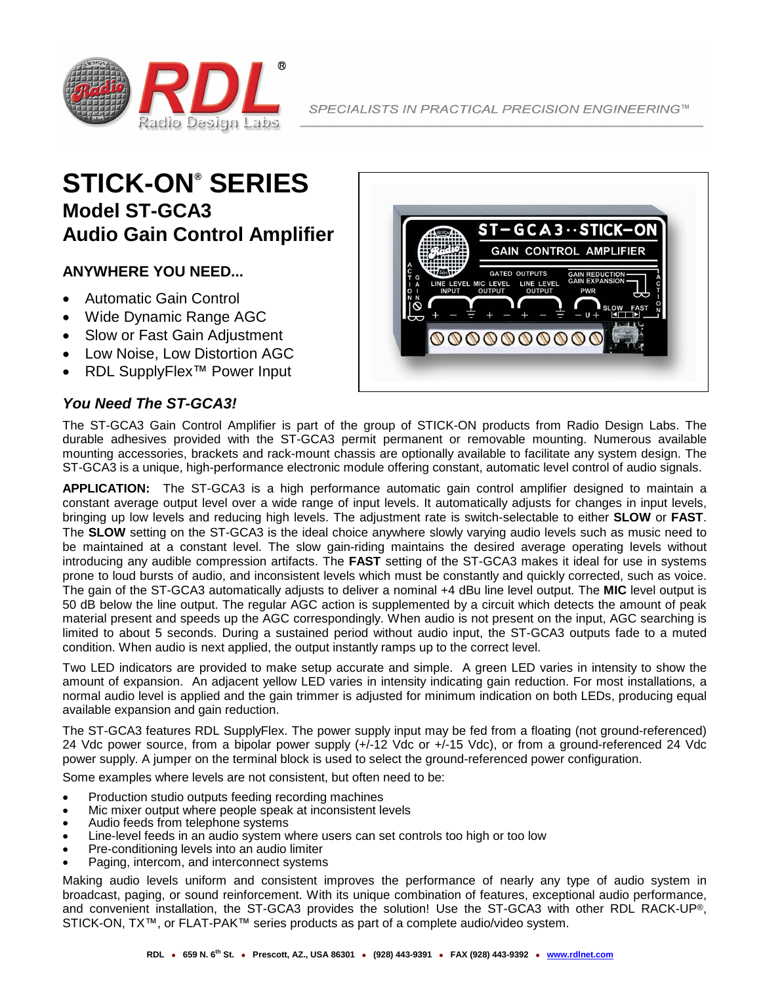

# **STICK-ON® SERIES Model ST-GCA3 Audio Gain Control Amplifier**

#### **ANYWHERE YOU NEED...**

- Automatic Gain Control
- Wide Dynamic Range AGC
- Slow or Fast Gain Adjustment
- Low Noise, Low Distortion AGC
- RDL SupplyFlex™ Power Input

#### *You Need The ST-GCA3!*



The ST-GCA3 Gain Control Amplifier is part of the group of STICK-ON products from Radio Design Labs. The durable adhesives provided with the ST-GCA3 permit permanent or removable mounting. Numerous available mounting accessories, brackets and rack-mount chassis are optionally available to facilitate any system design. The ST-GCA3 is a unique, high-performance electronic module offering constant, automatic level control of audio signals.

**APPLICATION:** The ST-GCA3 is a high performance automatic gain control amplifier designed to maintain a constant average output level over a wide range of input levels. It automatically adjusts for changes in input levels, bringing up low levels and reducing high levels. The adjustment rate is switch-selectable to either **SLOW** or **FAST**. The **SLOW** setting on the ST-GCA3 is the ideal choice anywhere slowly varying audio levels such as music need to be maintained at a constant level. The slow gain-riding maintains the desired average operating levels without introducing any audible compression artifacts. The **FAST** setting of the ST-GCA3 makes it ideal for use in systems prone to loud bursts of audio, and inconsistent levels which must be constantly and quickly corrected, such as voice. The gain of the ST-GCA3 automatically adjusts to deliver a nominal +4 dBu line level output. The **MIC** level output is 50 dB below the line output. The regular AGC action is supplemented by a circuit which detects the amount of peak material present and speeds up the AGC correspondingly. When audio is not present on the input, AGC searching is limited to about 5 seconds. During a sustained period without audio input, the ST-GCA3 outputs fade to a muted condition. When audio is next applied, the output instantly ramps up to the correct level.

Two LED indicators are provided to make setup accurate and simple. A green LED varies in intensity to show the amount of expansion. An adjacent yellow LED varies in intensity indicating gain reduction. For most installations, a normal audio level is applied and the gain trimmer is adjusted for minimum indication on both LEDs, producing equal available expansion and gain reduction.

The ST-GCA3 features RDL SupplyFlex. The power supply input may be fed from a floating (not ground-referenced) 24 Vdc power source, from a bipolar power supply (+/-12 Vdc or +/-15 Vdc), or from a ground-referenced 24 Vdc power supply. A jumper on the terminal block is used to select the ground-referenced power configuration.

Some examples where levels are not consistent, but often need to be:

- Production studio outputs feeding recording machines
- Mic mixer output where people speak at inconsistent levels
- Audio feeds from telephone systems
- Line-level feeds in an audio system where users can set controls too high or too low
- Pre-conditioning levels into an audio limiter
- Paging, intercom, and interconnect systems

Making audio levels uniform and consistent improves the performance of nearly any type of audio system in broadcast, paging, or sound reinforcement. With its unique combination of features, exceptional audio performance, and convenient installation, the ST-GCA3 provides the solution! Use the ST-GCA3 with other RDL RACK-UP®, STICK-ON, TX™, or FLAT-PAK™ series products as part of a complete audio/video system.